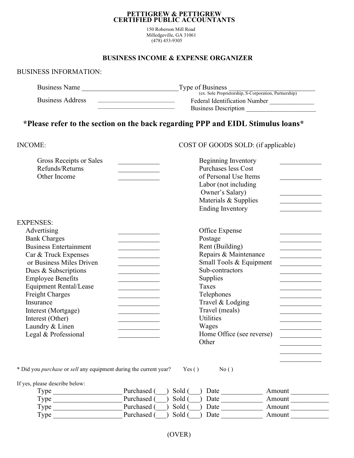#### PETTIGREW & PETTIGREW CERTIFIED PUBLIC ACCOUNTANTS

150 Roberson Mill Road Milledgeville, GA 31061 (478) 453-9305

## BUSINESS INCOME & EXPENSE ORGANIZER

### BUSINESS INFORMATION:

| <b>Business Name</b> | Type of Business                                             |  |
|----------------------|--------------------------------------------------------------|--|
|                      | (ex<br>Partnership)<br>. Sole Proprietorship. S-Corporation. |  |

Business Address

Federal Identification Number \_\_\_\_\_\_\_\_\_\_\_\_\_\_ Business Description \_\_\_\_\_\_\_\_\_\_\_\_\_\_\_\_\_\_\_\_\_\_

# \*Please refer to the section on the back regarding PPP and EIDL Stimulus loans\*

 $\mathcal{L}_\text{max}$ 

#### COST OF GOODS SOLD: (if applicable)

| Gross Receipts or Sales<br>Refunds/Returns<br>Other Income | Beginning Inventory<br>Purchases less Cost<br>of Personal Use Items<br>Labor (not including<br>Owner's Salary)<br>Materials & Supplies<br><b>Ending Inventory</b> |
|------------------------------------------------------------|-------------------------------------------------------------------------------------------------------------------------------------------------------------------|
| <b>EXPENSES:</b>                                           |                                                                                                                                                                   |
| Advertising                                                | Office Expense                                                                                                                                                    |
| <b>Bank Charges</b>                                        | Postage                                                                                                                                                           |
| <b>Business Entertainment</b>                              | Rent (Building)                                                                                                                                                   |
| Car & Truck Expenses                                       | Repairs & Maintenance                                                                                                                                             |
| or Business Miles Driven                                   | Small Tools & Equipment                                                                                                                                           |
| Dues & Subscriptions                                       | Sub-contractors                                                                                                                                                   |
| <b>Employee Benefits</b>                                   | Supplies                                                                                                                                                          |
| <b>Equipment Rental/Lease</b>                              | Taxes                                                                                                                                                             |
| <b>Freight Charges</b>                                     | Telephones                                                                                                                                                        |
| Insurance                                                  | Travel & Lodging                                                                                                                                                  |
| Interest (Mortgage)                                        | Travel (meals)                                                                                                                                                    |
| Interest (Other)                                           | <b>Utilities</b>                                                                                                                                                  |
| Laundry & Linen                                            | Wages                                                                                                                                                             |
| Legal & Professional                                       | Home Office (see reverse)                                                                                                                                         |
|                                                            | Other                                                                                                                                                             |
|                                                            |                                                                                                                                                                   |

\* Did you purchase or sell any equipment during the current year?

 $Yes()$  No ()

If yes, please describe below:

| Type | Purchased (<br>Sold ( | Date | Amount |
|------|-----------------------|------|--------|
| Type | Purchased (<br>Sold ( | Date | Amount |
| Type | Purchased<br>Sold (   | Date | Amount |
| Type | Purchased (<br>Sold ( | Date | Amount |